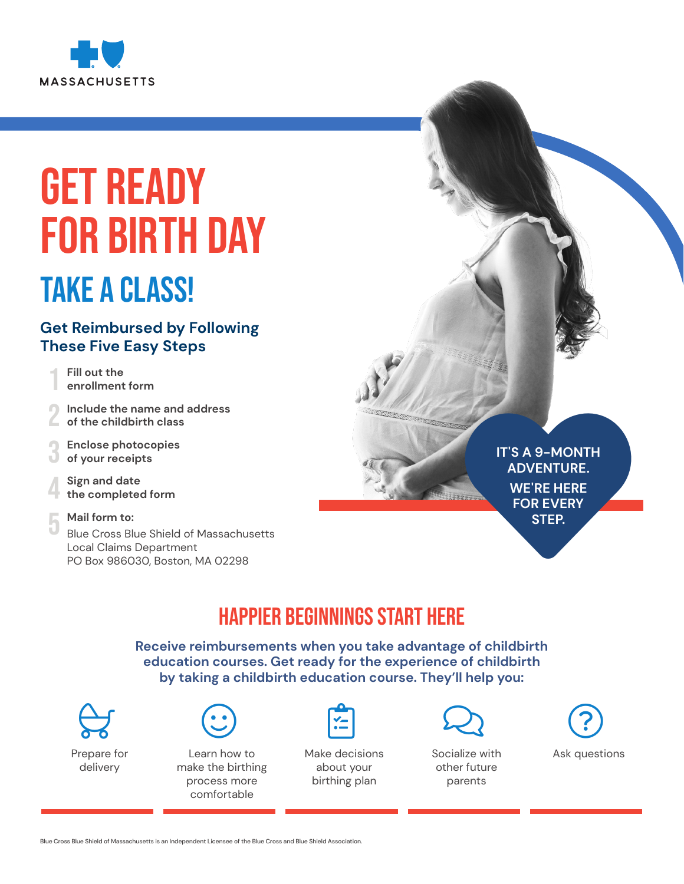

# GET READY FOR BIRTH DAY

## TAKE A CLASS!

#### **Get Reimbursed by Following These Five Easy Steps**

**Fill out the enrollment form**

2 **Include the name and address of the childbirth class** 

3 **Enclose photocopies of your receipts** 

4 **Sign and date the completed form** 

#### 5 **Mail form to:**

Blue Cross Blue Shield of Massachusetts Local Claims Department PO Box 986030, Boston, MA 02298

## IT'S A 9-MONTH<br>ADVENTURE.<br>WE'RE HERE<br>FOR EVERY<br>STEP. **IT'S A 9-MONTH ADVENTURE. WE'RE HERE FOR EVERY STEP.**

## Happier Beginnings Start Here

**Receive reimbursements when you take advantage of childbirth education courses. Get ready for the experience of childbirth by taking a childbirth education course. They'll help you:**



Prepare for delivery



Learn how to make the birthing process more comfortable

Make decisions about your birthing plan



Socialize with other future parents



Ask questions

Blue Cross Blue Shield of Massachusetts is an Independent Licensee of the Blue Cross and Blue Shield Association.